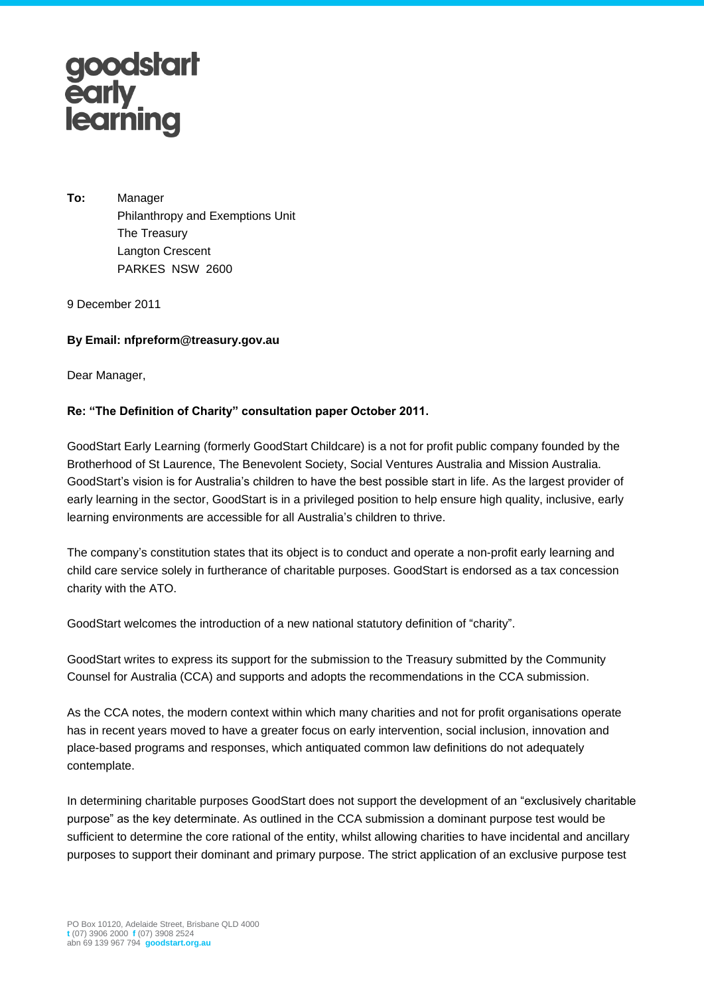## goodstart<br>early<br>learning

**To:** Manager Philanthropy and Exemptions Unit The Treasury Langton Crescent PARKES NSW 2600

9 December 2011

## **By Email: nfpreform@treasury.gov.au**

Dear Manager,

## **Re: "The Definition of Charity" consultation paper October 2011.**

GoodStart Early Learning (formerly GoodStart Childcare) is a not for profit public company founded by the Brotherhood of St Laurence, The Benevolent Society, Social Ventures Australia and Mission Australia. GoodStart's vision is for Australia's children to have the best possible start in life. As the largest provider of early learning in the sector, GoodStart is in a privileged position to help ensure high quality, inclusive, early learning environments are accessible for all Australia's children to thrive.

The company's constitution states that its object is to conduct and operate a non-profit early learning and child care service solely in furtherance of charitable purposes. GoodStart is endorsed as a tax concession charity with the ATO.

GoodStart welcomes the introduction of a new national statutory definition of "charity".

GoodStart writes to express its support for the submission to the Treasury submitted by the Community Counsel for Australia (CCA) and supports and adopts the recommendations in the CCA submission.

As the CCA notes, the modern context within which many charities and not for profit organisations operate has in recent years moved to have a greater focus on early intervention, social inclusion, innovation and place-based programs and responses, which antiquated common law definitions do not adequately contemplate.

In determining charitable purposes GoodStart does not support the development of an "exclusively charitable purpose" as the key determinate. As outlined in the CCA submission a dominant purpose test would be sufficient to determine the core rational of the entity, whilst allowing charities to have incidental and ancillary purposes to support their dominant and primary purpose. The strict application of an exclusive purpose test